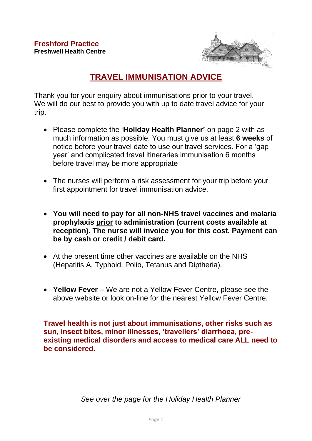

# **TRAVEL IMMUNISATION ADVICE**

Thank you for your enquiry about immunisations prior to your travel. We will do our best to provide you with up to date travel advice for your trip.

- Please complete the '**Holiday Health Planner'** on page 2 with as much information as possible. You must give us at least **6 weeks** of notice before your travel date to use our travel services. For a 'gap year' and complicated travel itineraries immunisation 6 months before travel may be more appropriate
- The nurses will perform a risk assessment for your trip before your first appointment for travel immunisation advice.
- **You will need to pay for all non-NHS travel vaccines and malaria prophylaxis prior to administration (current costs available at reception). The nurse will invoice you for this cost. Payment can be by cash or credit / debit card.**
- At the present time other vaccines are available on the NHS (Hepatitis A, Typhoid, Polio, Tetanus and Diptheria).
- **Yellow Fever** We are not a Yellow Fever Centre, please see the above website or look on-line for the nearest Yellow Fever Centre.

**Travel health is not just about immunisations, other risks such as sun, insect bites, minor illnesses, 'travellers' diarrhoea, preexisting medical disorders and access to medical care ALL need to be considered.**

*See over the page for the Holiday Health Planner*